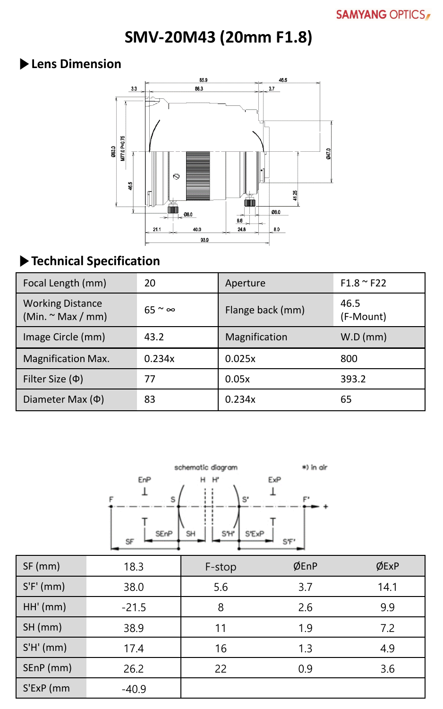**SMV-20M43 (20mm F1.8)**

### **▶Lens Dimension**



# **▶Technical Specification**

| Focal Length (mm)                                 | 20                  | Aperture         | $F1.8 \sim F22$   |
|---------------------------------------------------|---------------------|------------------|-------------------|
| <b>Working Distance</b><br>(Min. $\sim$ Max / mm) | $65 \approx \infty$ | Flange back (mm) | 46.5<br>(F-Mount) |
| Image Circle (mm)                                 | 43.2                | Magnification    | W.D (mm)          |
| <b>Magnification Max.</b>                         | 0.234x              | 0.025x           | 800               |
| Filter Size $(\Phi)$                              | 77                  | 0.05x            | 393.2             |
| Diameter Max $(\Phi)$                             | 83                  | 0.234x           | 65                |



| $SF$ (mm)   | 18.3    | F-stop | ØEnP | ØExP |
|-------------|---------|--------|------|------|
| $S'F'$ (mm) | 38.0    | 5.6    | 3.7  | 14.1 |
| HH'(mm)     | $-21.5$ | 8      | 2.6  | 9.9  |
| SH(mm)      | 38.9    | 11     | 1.9  | 7.2  |
| S'H'(mm)    | 17.4    | 16     | 1.3  | 4.9  |
| SEnP (mm)   | 26.2    | 22     | 0.9  | 3.6  |
| S'ExP (mm   | $-40.9$ |        |      |      |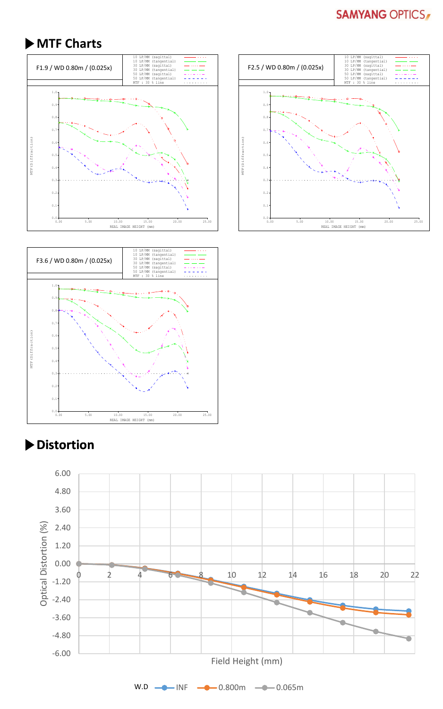#### **SAMYANG OPTICS**

### **▶MTF Charts**







## **▶Distortion**